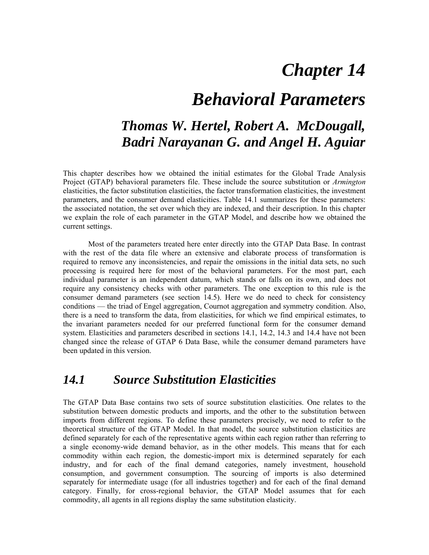# *Chapter 14*

## *Behavioral Parameters*

## *Thomas W. Hertel, Robert A. McDougall, Badri Narayanan G. and Angel H. Aguiar*

This chapter describes how we obtained the initial estimates for the Global Trade Analysis Project (GTAP) behavioral parameters file. These include the source substitution or *Armington* elasticities, the factor substitution elasticities, the factor transformation elasticities, the investment parameters, and the consumer demand elasticities. Table 14.1 summarizes for these parameters: the associated notation, the set over which they are indexed, and their description. In this chapter we explain the role of each parameter in the GTAP Model, and describe how we obtained the current settings.

Most of the parameters treated here enter directly into the GTAP Data Base. In contrast with the rest of the data file where an extensive and elaborate process of transformation is required to remove any inconsistencies, and repair the omissions in the initial data sets, no such processing is required here for most of the behavioral parameters. For the most part, each individual parameter is an independent datum, which stands or falls on its own, and does not require any consistency checks with other parameters. The one exception to this rule is the consumer demand parameters (see section 14.5). Here we do need to check for consistency conditions — the triad of Engel aggregation, Cournot aggregation and symmetry condition. Also, there is a need to transform the data, from elasticities, for which we find empirical estimates, to the invariant parameters needed for our preferred functional form for the consumer demand system. Elasticities and parameters described in sections 14.1, 14.2, 14.3 and 14.4 have not been changed since the release of GTAP 6 Data Base, while the consumer demand parameters have been updated in this version.

#### *14.1 Source Substitution Elasticities*

The GTAP Data Base contains two sets of source substitution elasticities. One relates to the substitution between domestic products and imports, and the other to the substitution between imports from different regions. To define these parameters precisely, we need to refer to the theoretical structure of the GTAP Model. In that model, the source substitution elasticities are defined separately for each of the representative agents within each region rather than referring to a single economy-wide demand behavior, as in the other models. This means that for each commodity within each region, the domestic-import mix is determined separately for each industry, and for each of the final demand categories, namely investment, household consumption, and government consumption. The sourcing of imports is also determined separately for intermediate usage (for all industries together) and for each of the final demand category. Finally, for cross-regional behavior, the GTAP Model assumes that for each commodity, all agents in all regions display the same substitution elasticity.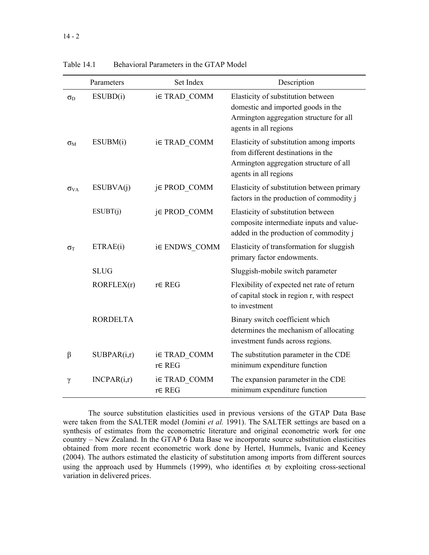|                       | Parameters      | Set Index                          | Description                                                                                                                                       |
|-----------------------|-----------------|------------------------------------|---------------------------------------------------------------------------------------------------------------------------------------------------|
| $\sigma_{\rm D}$      | ESUBD(i)        | i∈ TRAD COMM                       | Elasticity of substitution between<br>domestic and imported goods in the<br>Armington aggregation structure for all<br>agents in all regions      |
| $\sigma_{\rm M}$      | ESUBM(i)        | i∈ TRAD COMM                       | Elasticity of substitution among imports<br>from different destinations in the<br>Armington aggregation structure of all<br>agents in all regions |
| $\sigma_{VA}$         | ESUBVA(i)       | j∈ PROD COMM                       | Elasticity of substitution between primary<br>factors in the production of commodity j                                                            |
|                       | ESUBT(j)        | j∈ PROD_COMM                       | Elasticity of substitution between<br>composite intermediate inputs and value-<br>added in the production of commodity j                          |
| $\sigma$ <sup>T</sup> | ETRAE(i)        | i∈ ENDWS COMM                      | Elasticity of transformation for sluggish<br>primary factor endowments.                                                                           |
|                       | <b>SLUG</b>     |                                    | Sluggish-mobile switch parameter                                                                                                                  |
|                       | RORFLEX(r)      | $r \in \text{REG}$                 | Flexibility of expected net rate of return<br>of capital stock in region r, with respect<br>to investment                                         |
|                       | <b>RORDELTA</b> |                                    | Binary switch coefficient which<br>determines the mechanism of allocating<br>investment funds across regions.                                     |
| β                     | SUBPAR(i,r)     | i∈ TRAD COMM<br>$r \in \text{REG}$ | The substitution parameter in the CDE<br>minimum expenditure function                                                                             |
| γ                     | INCPAR(i,r)     | i∈ TRAD COMM<br>r∈ REG             | The expansion parameter in the CDE<br>minimum expenditure function                                                                                |

Table 14.1 Behavioral Parameters in the GTAP Model

The source substitution elasticities used in previous versions of the GTAP Data Base were taken from the SALTER model (Jomini *et al.* 1991). The SALTER settings are based on a synthesis of estimates from the econometric literature and original econometric work for one country – New Zealand. In the GTAP 6 Data Base we incorporate source substitution elasticities obtained from more recent econometric work done by Hertel, Hummels, Ivanic and Keeney (2004). The authors estimated the elasticity of substitution among imports from different sources using the approach used by Hummels (1999), who identifies  $\sigma_i$  by exploiting cross-sectional variation in delivered prices.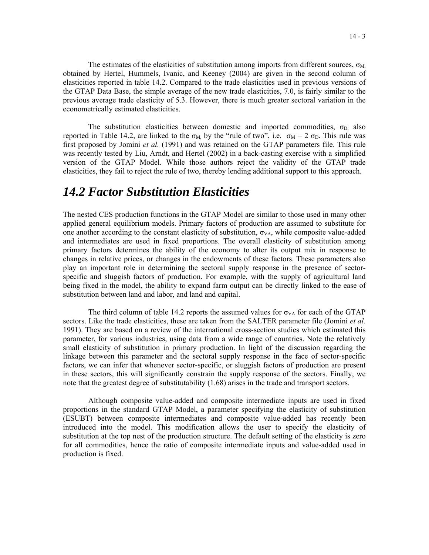The estimates of the elasticities of substitution among imports from different sources,  $\sigma_M$ obtained by Hertel, Hummels, Ivanic, and Keeney (2004) are given in the second column of elasticities reported in table 14.2. Compared to the trade elasticities used in previous versions of the GTAP Data Base, the simple average of the new trade elasticities, 7.0, is fairly similar to the previous average trade elasticity of 5.3. However, there is much greater sectoral variation in the econometrically estimated elasticities.

The substitution elasticities between domestic and imported commodities,  $\sigma_D$  also reported in Table 14.2, are linked to the  $\sigma_M$  by the "rule of two", i.e.  $\sigma_M = 2 \sigma_D$ . This rule was first proposed by Jomini *et al.* (1991) and was retained on the GTAP parameters file. This rule was recently tested by Liu, Arndt, and Hertel (2002) in a back-casting exercise with a simplified version of the GTAP Model. While those authors reject the validity of the GTAP trade elasticities, they fail to reject the rule of two, thereby lending additional support to this approach.

#### *14.2 Factor Substitution Elasticities*

The nested CES production functions in the GTAP Model are similar to those used in many other applied general equilibrium models. Primary factors of production are assumed to substitute for one another according to the constant elasticity of substitution,  $\sigma_{VA}$ , while composite value-added and intermediates are used in fixed proportions. The overall elasticity of substitution among primary factors determines the ability of the economy to alter its output mix in response to changes in relative prices, or changes in the endowments of these factors. These parameters also play an important role in determining the sectoral supply response in the presence of sectorspecific and sluggish factors of production. For example, with the supply of agricultural land being fixed in the model, the ability to expand farm output can be directly linked to the ease of substitution between land and labor, and land and capital.

The third column of table 14.2 reports the assumed values for  $\sigma_{VA}$  for each of the GTAP sectors. Like the trade elasticities, these are taken from the SALTER parameter file (Jomini *et al.* 1991). They are based on a review of the international cross-section studies which estimated this parameter, for various industries, using data from a wide range of countries. Note the relatively small elasticity of substitution in primary production. In light of the discussion regarding the linkage between this parameter and the sectoral supply response in the face of sector-specific factors, we can infer that whenever sector-specific, or sluggish factors of production are present in these sectors, this will significantly constrain the supply response of the sectors. Finally, we note that the greatest degree of substitutability (1.68) arises in the trade and transport sectors.

Although composite value-added and composite intermediate inputs are used in fixed proportions in the standard GTAP Model, a parameter specifying the elasticity of substitution (ESUBT) between composite intermediates and composite value-added has recently been introduced into the model. This modification allows the user to specify the elasticity of substitution at the top nest of the production structure. The default setting of the elasticity is zero for all commodities, hence the ratio of composite intermediate inputs and value-added used in production is fixed.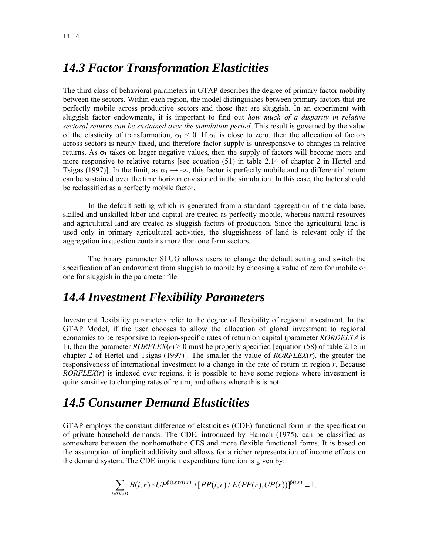### *14.3 Factor Transformation Elasticities*

The third class of behavioral parameters in GTAP describes the degree of primary factor mobility between the sectors. Within each region, the model distinguishes between primary factors that are perfectly mobile across productive sectors and those that are sluggish. In an experiment with sluggish factor endowments, it is important to find out *how much of a disparity in relative sectoral returns can be sustained over the simulation period.* This result is governed by the value of the elasticity of transformation,  $\sigma_T < 0$ . If  $\sigma_T$  is close to zero, then the allocation of factors across sectors is nearly fixed, and therefore factor supply is unresponsive to changes in relative returns. As  $\sigma_T$  takes on larger negative values, then the supply of factors will become more and more responsive to relative returns [see equation (51) in table 2.14 of chapter 2 in Hertel and Tsigas (1997)]. In the limit, as  $\sigma_T \rightarrow -\infty$ , this factor is perfectly mobile and no differential return can be sustained over the time horizon envisioned in the simulation. In this case, the factor should be reclassified as a perfectly mobile factor.

In the default setting which is generated from a standard aggregation of the data base, skilled and unskilled labor and capital are treated as perfectly mobile, whereas natural resources and agricultural land are treated as sluggish factors of production. Since the agricultural land is used only in primary agricultural activities, the sluggishness of land is relevant only if the aggregation in question contains more than one farm sectors.

The binary parameter SLUG allows users to change the default setting and switch the specification of an endowment from sluggish to mobile by choosing a value of zero for mobile or one for sluggish in the parameter file.

## *14.4 Investment Flexibility Parameters*

Investment flexibility parameters refer to the degree of flexibility of regional investment. In the GTAP Model, if the user chooses to allow the allocation of global investment to regional economies to be responsive to region-specific rates of return on capital (parameter *RORDELTA* is 1), then the parameter  $RORFLEX(r) > 0$  must be properly specified [equation (58) of table 2.15 in chapter 2 of Hertel and Tsigas (1997)]. The smaller the value of *RORFLEX*(*r*), the greater the responsiveness of international investment to a change in the rate of return in region *r*. Because *RORFLEX(r)* is indexed over regions, it is possible to have some regions where investment is quite sensitive to changing rates of return, and others where this is not.

## *14.5 Consumer Demand Elasticities*

GTAP employs the constant difference of elasticities (CDE) functional form in the specification of private household demands. The CDE, introduced by Hanoch (1975), can be classified as somewhere between the nonhomothetic CES and more flexible functional forms. It is based on the assumption of implicit additivity and allows for a richer representation of income effects on the demand system. The CDE implicit expenditure function is given by:

$$
\sum_{i\in TRAD} B(i,r)*UP^{\beta(i,r)\gamma(i,r)}*[PP(i,r)/E(PP(r),UP(r))]^{\beta(i,r)}=1.
$$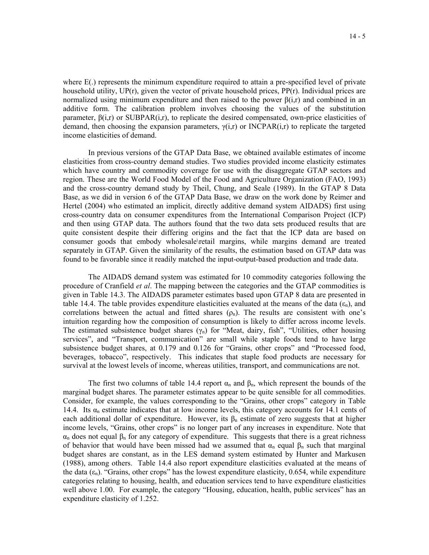where E(.) represents the minimum expenditure required to attain a pre-specified level of private household utility,  $UP(r)$ , given the vector of private household prices,  $PP(r)$ . Individual prices are normalized using minimum expenditure and then raised to the power  $\beta(i,r)$  and combined in an additive form. The calibration problem involves choosing the values of the substitution parameter,  $\beta(i,r)$  or SUBPAR $(i,r)$ , to replicate the desired compensated, own-price elasticities of demand, then choosing the expansion parameters,  $\gamma(i,r)$  or INCPAR(i,r) to replicate the targeted income elasticities of demand.

In previous versions of the GTAP Data Base, we obtained available estimates of income elasticities from cross-country demand studies. Two studies provided income elasticity estimates which have country and commodity coverage for use with the disaggregate GTAP sectors and region. These are the World Food Model of the Food and Agriculture Organization (FAO, 1993) and the cross-country demand study by Theil, Chung, and Seale (1989). In the GTAP 8 Data Base, as we did in version 6 of the GTAP Data Base, we draw on the work done by Reimer and Hertel (2004) who estimated an implicit, directly additive demand system AIDADS) first using cross-country data on consumer expenditures from the International Comparison Project (ICP) and then using GTAP data. The authors found that the two data sets produced results that are quite consistent despite their differing origins and the fact that the ICP data are based on consumer goods that embody wholesale\retail margins, while margins demand are treated separately in GTAP. Given the similarity of the results, the estimation based on GTAP data was found to be favorable since it readily matched the input-output-based production and trade data.

The AIDADS demand system was estimated for 10 commodity categories following the procedure of Cranfield *et al*. The mapping between the categories and the GTAP commodities is given in Table 14.3. The AIDADS parameter estimates based upon GTAP 8 data are presented in table 14.4. The table provides expenditure elasticities evaluated at the means of the data  $(\epsilon_n)$ , and correlations between the actual and fitted shares  $(\rho_n)$ . The results are consistent with one's intuition regarding how the composition of consumption is likely to differ across income levels. The estimated subsistence budget shares  $(\gamma_n)$  for "Meat, dairy, fish", "Utilities, other housing services", and "Transport, communication" are small while staple foods tend to have large subsistence budget shares, at 0.179 and 0.126 for "Grains, other crops" and "Processed food, beverages, tobacco", respectively. This indicates that staple food products are necessary for survival at the lowest levels of income, whereas utilities, transport, and communications are not.

The first two columns of table 14.4 report  $\alpha_n$  and  $\beta_n$ , which represent the bounds of the marginal budget shares. The parameter estimates appear to be quite sensible for all commodities. Consider, for example, the values corresponding to the "Grains, other crops" category in Table 14.4. Its  $\alpha_n$  estimate indicates that at low income levels, this category accounts for 14.1 cents of each additional dollar of expenditure. However, its  $\beta_n$  estimate of zero suggests that at higher income levels, "Grains, other crops" is no longer part of any increases in expenditure. Note that  $α<sub>n</sub>$  does not equal  $β<sub>n</sub>$  for any category of expenditure. This suggests that there is a great richness of behavior that would have been missed had we assumed that  $\alpha_n$  equal  $\beta_n$  such that marginal budget shares are constant, as in the LES demand system estimated by Hunter and Markusen (1988), among others. Table 14.4 also report expenditure elasticities evaluated at the means of the data  $(\epsilon_n)$ . "Grains, other crops" has the lowest expenditure elasticity, 0.654, while expenditure categories relating to housing, health, and education services tend to have expenditure elasticities well above 1.00. For example, the category "Housing, education, health, public services" has an expenditure elasticity of 1.252.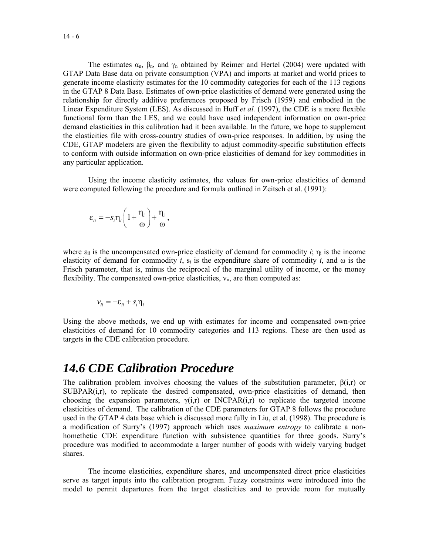The estimates  $\alpha_n$ ,  $\beta_n$ , and  $\gamma_n$  obtained by Reimer and Hertel (2004) were updated with GTAP Data Base data on private consumption (VPA) and imports at market and world prices to generate income elasticity estimates for the 10 commodity categories for each of the 113 regions in the GTAP 8 Data Base. Estimates of own-price elasticities of demand were generated using the relationship for directly additive preferences proposed by Frisch (1959) and embodied in the Linear Expenditure System (LES). As discussed in Huff *et al.* (1997), the CDE is a more flexible functional form than the LES, and we could have used independent information on own-price demand elasticities in this calibration had it been available. In the future, we hope to supplement the elasticities file with cross-country studies of own-price responses. In addition, by using the CDE, GTAP modelers are given the flexibility to adjust commodity-specific substitution effects to conform with outside information on own-price elasticities of demand for key commodities in any particular application.

Using the income elasticity estimates, the values for own-price elasticities of demand were computed following the procedure and formula outlined in Zeitsch et al. (1991):

$$
\varepsilon_{ii} = -s_i \eta_i \left( 1 + \frac{\eta_i}{\omega} \right) + \frac{\eta_i}{\omega},
$$

where  $\varepsilon_{ii}$  is the uncompensated own-price elasticity of demand for commodity *i*;  $\eta_i$  is the income elasticity of demand for commodity *i*, si is the expenditure share of commodity *i*, and ω is the Frisch parameter, that is, minus the reciprocal of the marginal utility of income, or the money flexibility. The compensated own-price elasticities,  $v_{ii}$ , are then computed as:

$$
v_{ii} = -\varepsilon_{ii} + s_i \eta_i
$$

Using the above methods, we end up with estimates for income and compensated own-price elasticities of demand for 10 commodity categories and 113 regions. These are then used as targets in the CDE calibration procedure.

#### *14.6 CDE Calibration Procedure*

The calibration problem involves choosing the values of the substitution parameter, β(i,r) or  $SUBPAR(i,r)$ , to replicate the desired compensated, own-price elasticities of demand, then choosing the expansion parameters,  $\gamma(i,r)$  or INCPAR(i,r) to replicate the targeted income elasticities of demand. The calibration of the CDE parameters for GTAP 8 follows the procedure used in the GTAP 4 data base which is discussed more fully in Liu, et al. (1998). The procedure is a modification of Surry's (1997) approach which uses *maximum entropy* to calibrate a nonhomethetic CDE expenditure function with subsistence quantities for three goods. Surry's procedure was modified to accommodate a larger number of goods with widely varying budget shares.

The income elasticities, expenditure shares, and uncompensated direct price elasticities serve as target inputs into the calibration program. Fuzzy constraints were introduced into the model to permit departures from the target elasticities and to provide room for mutually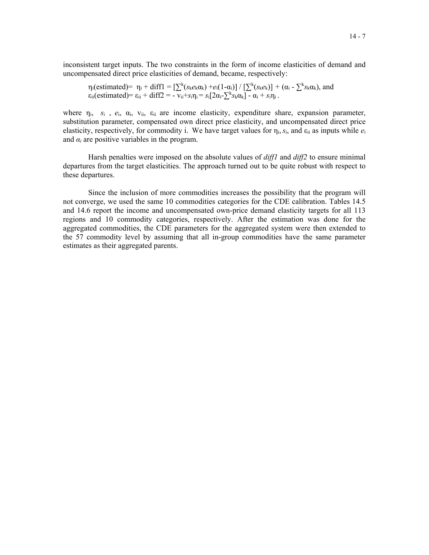inconsistent target inputs. The two constraints in the form of income elasticities of demand and uncompensated direct price elasticities of demand, became, respectively:

 $\eta_i$ (estimated) =  $\eta_i$  + diff1 =  $[\sum^k (s_k e_k \alpha_k) + e_i(1-\alpha_i)] / [\sum^k (s_k e_k)] + (\alpha_i - \sum^k s_k \alpha_k)$ , and  $\varepsilon_{ii}$ (estimated)=  $\varepsilon_{ii}$  + diff2 = -  $\overline{v}_{ii} + s_i \eta_i = s_i [2\alpha_i - \sum^k s_k \alpha_k] - \alpha_i + s_i \eta_i$ .

where ηi, *s*i , *e*i, αi, vii, εii are income elasticity, expenditure share, expansion parameter, substitution parameter, compensated own direct price elasticity, and uncompensated direct price elasticity, respectively, for commodity i. We have target values for  $\eta_i$ ,  $s_i$ , and  $\epsilon_{ii}$  as inputs while  $e_i$ and  $\alpha_i$  are positive variables in the program.

Harsh penalties were imposed on the absolute values of *diff1* and *diff2* to ensure minimal departures from the target elasticities. The approach turned out to be quite robust with respect to these departures.

Since the inclusion of more commodities increases the possibility that the program will not converge, we used the same 10 commodities categories for the CDE calibration. Tables 14.5 and 14.6 report the income and uncompensated own-price demand elasticity targets for all 113 regions and 10 commodity categories, respectively. After the estimation was done for the aggregated commodities, the CDE parameters for the aggregated system were then extended to the 57 commodity level by assuming that all in-group commodities have the same parameter estimates as their aggregated parents.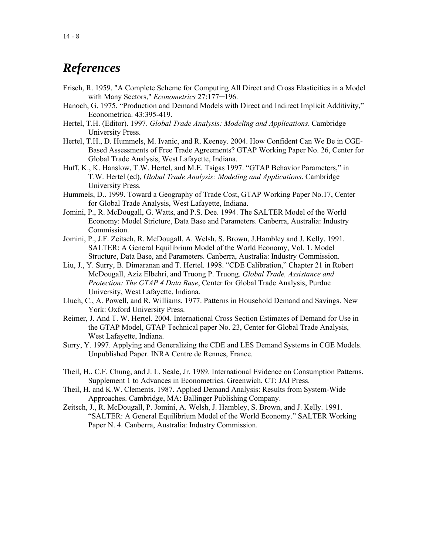#### *References*

- Frisch, R. 1959. "A Complete Scheme for Computing All Direct and Cross Elasticities in a Model with Many Sectors," *Econometrics* 27:177─196.
- Hanoch, G. 1975. "Production and Demand Models with Direct and Indirect Implicit Additivity," Econometrica. 43:395-419.
- Hertel, T.H. (Editor). 1997. *Global Trade Analysis: Modeling and Applications*. Cambridge University Press.
- Hertel, T.H., D. Hummels, M. Ivanic, and R. Keeney. 2004. How Confident Can We Be in CGE-Based Assessments of Free Trade Agreements? GTAP Working Paper No. 26, Center for Global Trade Analysis, West Lafayette, Indiana.
- Huff, K., K. Hanslow, T.W. Hertel, and M.E. Tsigas 1997. "GTAP Behavior Parameters," in T.W. Hertel (ed), *Global Trade Analysis: Modeling and Applications*. Cambridge University Press.
- Hummels, D.. 1999. Toward a Geography of Trade Cost, GTAP Working Paper No.17, Center for Global Trade Analysis, West Lafayette, Indiana.
- Jomini, P., R. McDougall, G. Watts, and P.S. Dee. 1994. The SALTER Model of the World Economy: Model Stricture, Data Base and Parameters. Canberra, Australia: Industry Commission.
- Jomini, P., J.F. Zeitsch, R. McDougall, A. Welsh, S. Brown, J.Hambley and J. Kelly. 1991. SALTER: A General Equilibrium Model of the World Economy, Vol. 1. Model Structure, Data Base, and Parameters. Canberra, Australia: Industry Commission.
- Liu, J., Y. Surry, B. Dimaranan and T. Hertel. 1998. "CDE Calibration," Chapter 21 in Robert McDougall, Aziz Elbehri, and Truong P. Truong. *Global Trade, Assistance and Protection: The GTAP 4 Data Base*, Center for Global Trade Analysis, Purdue University, West Lafayette, Indiana.
- Lluch, C., A. Powell, and R. Williams. 1977. Patterns in Household Demand and Savings. New York: Oxford University Press.
- Reimer, J. And T. W. Hertel. 2004. International Cross Section Estimates of Demand for Use in the GTAP Model, GTAP Technical paper No. 23, Center for Global Trade Analysis, West Lafayette, Indiana.
- Surry, Y. 1997. Applying and Generalizing the CDE and LES Demand Systems in CGE Models. Unpublished Paper. INRA Centre de Rennes, France.
- Theil, H., C.F. Chung, and J. L. Seale, Jr. 1989. International Evidence on Consumption Patterns. Supplement 1 to Advances in Econometrics. Greenwich, CT: JAI Press.
- Theil, H. and K.W. Clements. 1987. Applied Demand Analysis: Results from System-Wide Approaches. Cambridge, MA: Ballinger Publishing Company.
- Zeitsch, J., R. McDougall, P. Jomini, A. Welsh, J. Hambley, S. Brown, and J. Kelly. 1991. "SALTER: A General Equilibrium Model of the World Economy." SALTER Working Paper N. 4. Canberra, Australia: Industry Commission.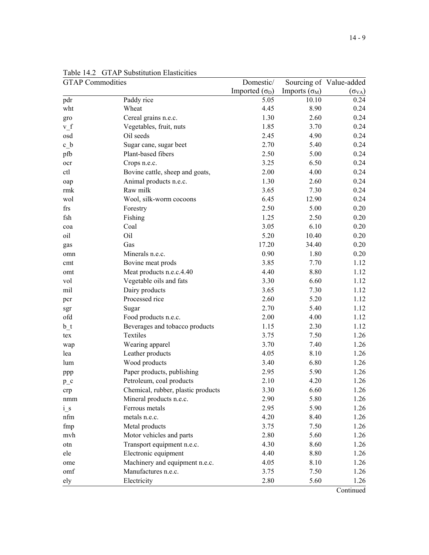| <b>GTAP</b> Commodities |                                    | Domestic/             |                      | Sourcing of Value-added |
|-------------------------|------------------------------------|-----------------------|----------------------|-------------------------|
|                         |                                    | Imported $(\sigma_D)$ | Imports $(\sigma_M)$ | $(\sigma_{VA})$         |
| pdr                     | Paddy rice                         | 5.05                  | 10.10                | 0.24                    |
| wht                     | Wheat                              | 4.45                  | 8.90                 | 0.24                    |
| gro                     | Cereal grains n.e.c.               | 1.30                  | 2.60                 | 0.24                    |
| $v_f$                   | Vegetables, fruit, nuts            | 1.85                  | 3.70                 | 0.24                    |
| osd                     | Oil seeds                          | 2.45                  | 4.90                 | 0.24                    |
| $c_b$                   | Sugar cane, sugar beet             | 2.70                  | 5.40                 | 0.24                    |
| pfb                     | Plant-based fibers                 | 2.50                  | 5.00                 | 0.24                    |
| ocr                     | Crops n.e.c.                       | 3.25                  | 6.50                 | 0.24                    |
| ctl                     | Bovine cattle, sheep and goats,    | 2.00                  | 4.00                 | 0.24                    |
| oap                     | Animal products n.e.c.             | 1.30                  | 2.60                 | 0.24                    |
| rmk                     | Raw milk                           | 3.65                  | 7.30                 | 0.24                    |
| wol                     | Wool, silk-worm cocoons            | 6.45                  | 12.90                | 0.24                    |
| frs                     | Forestry                           | 2.50                  | 5.00                 | 0.20                    |
| fsh                     | Fishing                            | 1.25                  | 2.50                 | 0.20                    |
| coa                     | Coal                               | 3.05                  | 6.10                 | 0.20                    |
| oil                     | Oil                                | 5.20                  | 10.40                | 0.20                    |
| gas                     | Gas                                | 17.20                 | 34.40                | 0.20                    |
| omn                     | Minerals n.e.c.                    | 0.90                  | 1.80                 | 0.20                    |
| cmt                     | Bovine meat prods                  | 3.85                  | 7.70                 | 1.12                    |
| omt                     | Meat products n.e.c.4.40           | 4.40                  | 8.80                 | 1.12                    |
| vol                     | Vegetable oils and fats            | 3.30                  | 6.60                 | 1.12                    |
| mil                     | Dairy products                     | 3.65                  | 7.30                 | 1.12                    |
| pcr                     | Processed rice                     | 2.60                  | 5.20                 | 1.12                    |
| sgr                     | Sugar                              | 2.70                  | 5.40                 | 1.12                    |
| ofd                     | Food products n.e.c.               | 2.00                  | 4.00                 | 1.12                    |
| $b_t$                   | Beverages and tobacco products     | 1.15                  | 2.30                 | 1.12                    |
| tex                     | Textiles                           | 3.75                  | 7.50                 | 1.26                    |
| wap                     | Wearing apparel                    | 3.70                  | 7.40                 | 1.26                    |
| lea                     | Leather products                   | 4.05                  | 8.10                 | 1.26                    |
| lum                     | Wood products                      | 3.40                  | 6.80                 | 1.26                    |
| ppp                     | Paper products, publishing         | 2.95                  | 5.90                 | 1.26                    |
| $p_c$                   | Petroleum, coal products           | 2.10                  | 4.20                 | 1.26                    |
| crp                     | Chemical, rubber, plastic products | 3.30                  | 6.60                 | 1.26                    |
| nmm                     | Mineral products n.e.c.            | 2.90                  | 5.80                 | 1.26                    |
| $i_s$                   | Ferrous metals                     | 2.95                  | 5.90                 | 1.26                    |
| nfm                     | metals n.e.c.                      | 4.20                  | 8.40                 | 1.26                    |
| fmp                     | Metal products                     | 3.75                  | 7.50                 | 1.26                    |
| mvh                     | Motor vehicles and parts           | 2.80                  | 5.60                 | 1.26                    |
| otn                     | Transport equipment n.e.c.         | 4.30                  | 8.60                 | 1.26                    |
| ele                     | Electronic equipment               | 4.40                  | 8.80                 | 1.26                    |
| ome                     | Machinery and equipment n.e.c.     | 4.05                  | 8.10                 | 1.26                    |
| omf                     | Manufactures n.e.c.                | 3.75                  | 7.50                 | 1.26                    |
| ely                     | Electricity                        | 2.80                  | 5.60                 | 1.26                    |

Tabl Table 14.2 GTAP Substitution Elasticities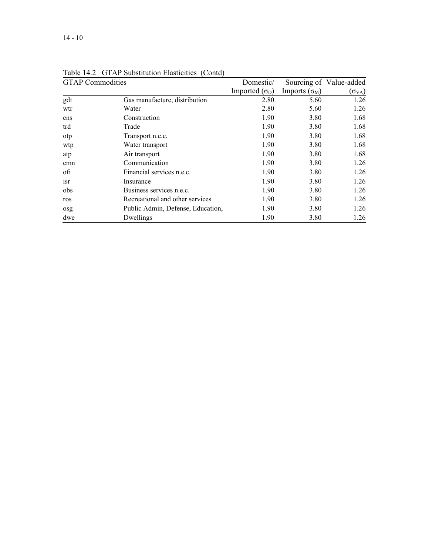| <b>GTAP</b> Commodities |                                   | Domestic/             |                      | Sourcing of Value-added |
|-------------------------|-----------------------------------|-----------------------|----------------------|-------------------------|
|                         |                                   | Imported $(\sigma_D)$ | Imports $(\sigma_M)$ | $(\sigma_{VA})$         |
| gdt                     | Gas manufacture, distribution     | 2.80                  | 5.60                 | 1.26                    |
| wtr                     | Water                             | 2.80                  | 5.60                 | 1.26                    |
| cns                     | Construction                      | 1.90                  | 3.80                 | 1.68                    |
| trd                     | Trade                             | 1.90                  | 3.80                 | 1.68                    |
| otp                     | Transport n.e.c.                  | 1.90                  | 3.80                 | 1.68                    |
| wtp                     | Water transport                   | 1.90                  | 3.80                 | 1.68                    |
| atp                     | Air transport                     | 1.90                  | 3.80                 | 1.68                    |
| cmn                     | Communication                     | 1.90                  | 3.80                 | 1.26                    |
| ofi                     | Financial services n.e.c.         | 1.90                  | 3.80                 | 1.26                    |
| isr                     | Insurance                         | 1.90                  | 3.80                 | 1.26                    |
| obs                     | Business services n.e.c.          | 1.90                  | 3.80                 | 1.26                    |
| ros                     | Recreational and other services   | 1.90                  | 3.80                 | 1.26                    |
| osg                     | Public Admin, Defense, Education, | 1.90                  | 3.80                 | 1.26                    |
| dwe                     | Dwellings                         | 1.90                  | 3.80                 | 1.26                    |

Tabl Table 14.2 GTAP Substitution Elasticities (Contd)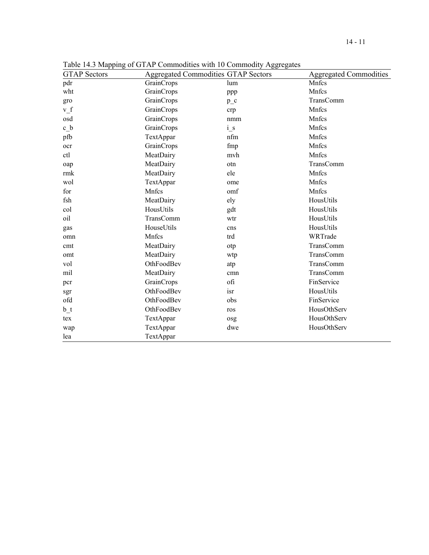| <b>GTAP Sectors</b> |            | <b>Aggregated Commodities GTAP Sectors</b> | <b>Aggregated Commodities</b> |
|---------------------|------------|--------------------------------------------|-------------------------------|
| pdr                 | GrainCrops | lum                                        | Mnfcs                         |
| wht                 | GrainCrops | ppp                                        | Mnfcs                         |
| gro                 | GrainCrops | $p_c$                                      | TransComm                     |
| v f                 | GrainCrops | crp                                        | Mnfcs                         |
| osd                 | GrainCrops | nmm                                        | Mnfcs                         |
| c b                 | GrainCrops | $i_s$                                      | Mnfcs                         |
| pfb                 | TextAppar  | nfm                                        | Mnfcs                         |
| ocr                 | GrainCrops | fmp                                        | Mnfcs                         |
| ctl                 | MeatDairy  | mvh                                        | Mnfcs                         |
| oap                 | MeatDairy  | otn                                        | TransComm                     |
| rmk                 | MeatDairy  | ele                                        | Mnfcs                         |
| wol                 | TextAppar  | ome                                        | Mnfcs                         |
| for                 | Mnfcs      | omf                                        | Mnfcs                         |
| fsh                 | MeatDairy  | ely                                        | HousUtils                     |
| col                 | HousUtils  | gdt                                        | HousUtils                     |
| oil                 | TransComm  | wtr                                        | HousUtils                     |
| gas                 | HouseUtils | cns                                        | HousUtils                     |
| omn                 | Mnfcs      | trd                                        | WRTrade                       |
| cmt                 | MeatDairy  | otp                                        | TransComm                     |
| omt                 | MeatDairy  | wtp                                        | TransComm                     |
| vol                 | OthFoodBev | atp                                        | TransComm                     |
| mil                 | MeatDairy  | cmn                                        | TransComm                     |
| pcr                 | GrainCrops | ofi                                        | FinService                    |
| sgr                 | OthFoodBev | isr                                        | HousUtils                     |
| ofd                 | OthFoodBev | obs                                        | FinService                    |
| b t                 | OthFoodBev | ros                                        | HousOthServ                   |
| tex                 | TextAppar  | osg                                        | HousOthServ                   |
| wap                 | TextAppar  | dwe                                        | HousOthServ                   |
| lea                 | TextAppar  |                                            |                               |

Table 14.3 Mapping of GTAP Commodities with 10 Commodity Aggregates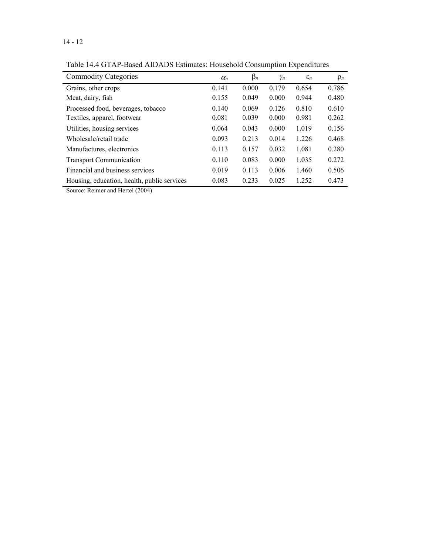| OTTHE Bused THBTHS Bothnates, Household Consumption Bapendrunes |            |           |            |                 |          |  |  |  |  |
|-----------------------------------------------------------------|------------|-----------|------------|-----------------|----------|--|--|--|--|
| <b>Commodity Categories</b>                                     | $\alpha_n$ | $\beta_n$ | $\gamma_n$ | $\varepsilon_n$ | $\rho_n$ |  |  |  |  |
| Grains, other crops                                             | 0.141      | 0.000     | 0.179      | 0.654           | 0.786    |  |  |  |  |
| Meat, dairy, fish                                               | 0.155      | 0.049     | 0.000      | 0.944           | 0.480    |  |  |  |  |
| Processed food, beverages, tobacco                              | 0.140      | 0.069     | 0.126      | 0.810           | 0.610    |  |  |  |  |
| Textiles, apparel, footwear                                     | 0.081      | 0.039     | 0.000      | 0.981           | 0.262    |  |  |  |  |
| Utilities, housing services                                     | 0.064      | 0.043     | 0.000      | 1.019           | 0.156    |  |  |  |  |
| Wholesale/retail trade                                          | 0.093      | 0.213     | 0.014      | 1.226           | 0.468    |  |  |  |  |
| Manufactures, electronics                                       | 0.113      | 0.157     | 0.032      | 1.081           | 0.280    |  |  |  |  |
| <b>Transport Communication</b>                                  | 0.110      | 0.083     | 0.000      | 1.035           | 0.272    |  |  |  |  |
| Financial and business services                                 | 0.019      | 0.113     | 0.006      | 1.460           | 0.506    |  |  |  |  |
| Housing, education, health, public services                     | 0.083      | 0.233     | 0.025      | 1.252           | 0.473    |  |  |  |  |

Table 14.4 GTAP-Based AIDADS Estimates: Household Consumption Expenditures

Source: Reimer and Hertel (2004)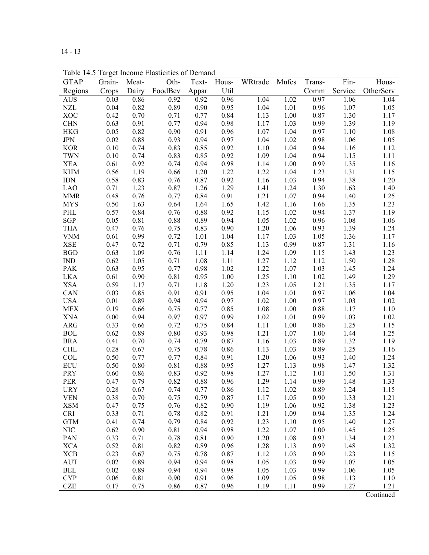14 - 13

**GTAP** Regions Grain-Crops Meat-Dairy Oth-FoodBev Text-Appar Hous-Util WRtrade Mnfcs Trans-Comm Fin-Service Hous-**OtherServ** AUS 0.03 0.86 0.92 0.92 0.96 1.04 1.02 0.97 1.06 1.04 NZL 0.04 0.82 0.89 0.90 0.95 1.04 1.01 0.96 1.07 1.05 XOC 0.42 0.70 0.71 0.77 0.84 1.13 1.00 0.87 1.30 1.17 CHN 0.63 0.91 0.77 0.94 0.98 1.17 1.03 0.99 1.39 1.19 HKG 0.05 0.82 0.90 0.91 0.96 1.07 1.04 0.97 1.10 1.08 JPN 0.02 0.88 0.93 0.94 0.97 1.04 1.02 0.98 1.06 1.05 KOR 0.10 0.74 0.83 0.85 0.92 1.10 1.04 0.94 1.16 1.12 TWN 0.10 0.74 0.83 0.85 0.92 1.09 1.04 0.94 1.15 1.11 XEA 0.61 0.92 0.74 0.94 0.98 1.14 1.00 0.99 1.35 1.16 KHM 0.56 1.19 0.66 1.20 1.22 1.22 1.04 1.23 1.31 1.15 IDN 0.58 0.83 0.76 0.87 0.92 1.16 1.03 0.94 1.38 1.20 LAO 0.71 1.23 0.87 1.26 1.29 1.41 1.24 1.30 1.63 1.40 MMR 0.48 0.76 0.77 0.84 0.91 1.21 1.07 0.94 1.40 1.25 MYS 0.50 1.63 0.64 1.64 1.65 1.42 1.16 1.66 1.35 1.23 PHL 0.57 0.84 0.76 0.88 0.92 1.15 1.02 0.94 1.37 1.19 SGP 0.05 0.81 0.88 0.89 0.94 1.05 1.02 0.96 1.08 1.06 THA 0.47 0.76 0.75 0.83 0.90 1.20 1.06 0.93 1.39 1.24 VNM 0.61 0.99 0.72 1.01 1.04 1.17 1.03 1.05 1.36 1.17 XSE 0.47 0.72 0.71 0.79 0.85 1.13 0.99 0.87 1.31 1.16 BGD 0.63 1.09 0.76 1.11 1.14 1.24 1.09 1.15 1.43 1.23 IND 0.62 1.05 0.71 1.08 1.11 1.27 1.12 1.12 1.50 1.28 PAK 0.63 0.95 0.77 0.98 1.02 1.22 1.07 1.03 1.45 1.24 LKA 0.61 0.90 0.81 0.95 1.00 1.25 1.10 1.02 1.49 1.29 XSA 0.59 1.17 0.71 1.18 1.20 1.23 1.05 1.21 1.35 1.17 CAN 0.03 0.85 0.91 0.91 0.95 1.04 1.01 0.97 1.06 1.04 USA 0.01 0.89 0.94 0.94 0.97 1.02 1.00 0.97 1.03 1.02 MEX 0.19 0.66 0.75 0.77 0.85 1.08 1.00 0.88 1.17 1.10 XNA 0.00 0.94 0.97 0.97 0.99 1.02 1.01 0.99 1.03 1.02 ARG 0.33 0.66 0.72 0.75 0.84 1.11 1.00 0.86 1.25 1.15 BOL 0.62 0.89 0.80 0.93 0.98 1.21 1.07 1.00 1.44 1.25 BRA 0.41 0.70 0.74 0.79 0.87 1.16 1.03 0.89 1.32 1.19 CHL 0.28 0.67 0.75 0.78 0.86 1.13 1.03 0.89 1.25 1.16 COL 0.50 0.77 0.77 0.84 0.91 1.20 1.06 0.93 1.40 1.24 ECU 0.50 0.80 0.81 0.88 0.95 1.27 1.13 0.98 1.47 1.32 PRY 0.60 0.86 0.83 0.92 0.98 1.27 1.12 1.01 1.50 1.31 PER 0.47 0.79 0.82 0.88 0.96 1.29 1.14 0.99 1.48 1.33 URY 0.28 0.67 0.74 0.77 0.86 1.12 1.02 0.89 1.24 1.15 VEN 0.38 0.70 0.75 0.79 0.87 1.17 1.05 0.90 1.33 1.21 XSM 0.47 0.75 0.76 0.82 0.90 1.19 1.06 0.92 1.38 1.23 CRI 0.33 0.71 0.78 0.82 0.91 1.21 1.09 0.94 1.35 1.24 GTM 0.41 0.74 0.79 0.84 0.92 1.23 1.10 0.95 1.40 1.27 NIC 0.62 0.90 0.81 0.94 0.98 1.22 1.07 1.00 1.45 1.25 PAN 0.33 0.71 0.78 0.81 0.90 1.20 1.08 0.93 1.34 1.23 XCA 0.52 0.81 0.82 0.89 0.96 1.28 1.13 0.99 1.48 1.32 XCB 0.23 0.67 0.75 0.78 0.87 1.12 1.03 0.90 1.23 1.15 AUT 0.02 0.89 0.94 0.94 0.98 1.05 1.03 0.99 1.07 1.05 BEL 0.02 0.89 0.94 0.94 0.98 1.05 1.03 0.99 1.06 1.05 CYP 0.06 0.81 0.90 0.91 0.96 1.09 1.05 0.98 1.13 1.10 CZE 0.17 0.75 0.86 0.87 0.96 1.19 1.11 0.99 1.27 1.21

Table 14.5 Target Income Elasticities of Demand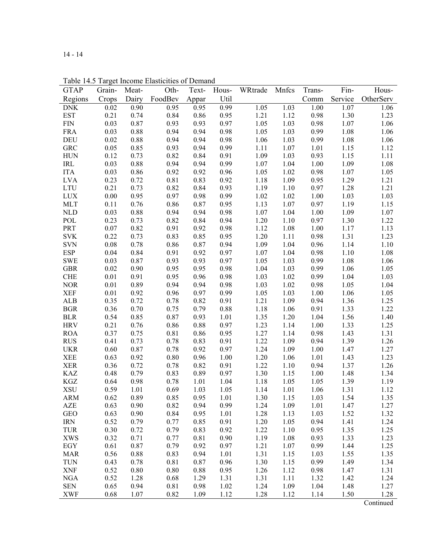| <b>GTAP</b> | Grain- | Meat- | Oth-    | Text- | Hous- | WRtrade | Mnfcs | Trans- | Fin-    | Hous-     |
|-------------|--------|-------|---------|-------|-------|---------|-------|--------|---------|-----------|
| Regions     | Crops  | Dairy | FoodBev | Appar | Util  |         |       | Comm   | Service | OtherServ |
| <b>DNK</b>  | 0.02   | 0.90  | 0.95    | 0.95  | 0.99  | 1.05    | 1.03  | 1.00   | 1.07    | 1.06      |
| <b>EST</b>  | 0.21   | 0.74  | 0.84    | 0.86  | 0.95  | 1.21    | 1.12  | 0.98   | 1.30    | 1.23      |
| <b>FIN</b>  | 0.03   | 0.87  | 0.93    | 0.93  | 0.97  | 1.05    | 1.03  | 0.98   | 1.07    | 1.06      |
| <b>FRA</b>  | 0.03   | 0.88  | 0.94    | 0.94  | 0.98  | 1.05    | 1.03  | 0.99   | 1.08    | 1.06      |
| <b>DEU</b>  | 0.02   | 0.88  | 0.94    | 0.94  | 0.98  | 1.06    | 1.03  | 0.99   | 1.08    | 1.06      |
| <b>GRC</b>  | 0.05   | 0.85  | 0.93    | 0.94  | 0.99  | 1.11    | 1.07  | 1.01   | 1.15    | 1.12      |
| <b>HUN</b>  | 0.12   | 0.73  | 0.82    | 0.84  | 0.91  | 1.09    | 1.03  | 0.93   | 1.15    | 1.11      |
| IRL         | 0.03   | 0.88  | 0.94    | 0.94  | 0.99  | 1.07    | 1.04  | 1.00   | 1.09    | 1.08      |
| <b>ITA</b>  | 0.03   | 0.86  | 0.92    | 0.92  | 0.96  | 1.05    | 1.02  | 0.98   | 1.07    | 1.05      |
| <b>LVA</b>  | 0.23   | 0.72  | 0.81    | 0.83  | 0.92  | 1.18    | 1.09  | 0.95   | 1.29    | 1.21      |
| <b>LTU</b>  | 0.21   | 0.73  | 0.82    | 0.84  | 0.93  | 1.19    | 1.10  | 0.97   | 1.28    | 1.21      |
| <b>LUX</b>  | 0.00   | 0.95  | 0.97    | 0.98  | 0.99  | 1.02    | 1.02  | 1.00   | 1.03    | 1.03      |
| <b>MLT</b>  | 0.11   | 0.76  | 0.86    | 0.87  | 0.95  | 1.13    | 1.07  | 0.97   | 1.19    | 1.15      |
| <b>NLD</b>  | 0.03   | 0.88  | 0.94    | 0.94  | 0.98  | 1.07    | 1.04  | 1.00   | 1.09    | 1.07      |
| POL         | 0.23   | 0.73  | 0.82    | 0.84  | 0.94  | 1.20    | 1.10  | 0.97   | 1.30    | 1.22      |
| PRT         | 0.07   | 0.82  | 0.91    | 0.92  | 0.98  | 1.12    | 1.08  | 1.00   | 1.17    | 1.13      |
| <b>SVK</b>  | 0.22   | 0.73  | 0.83    | 0.85  | 0.95  | 1.20    | 1.11  | 0.98   | 1.31    | 1.23      |
| <b>SVN</b>  | 0.08   | 0.78  | 0.86    | 0.87  | 0.94  | 1.09    | 1.04  | 0.96   | 1.14    | 1.10      |
| <b>ESP</b>  | 0.04   | 0.84  | 0.91    | 0.92  | 0.97  | 1.07    | 1.04  | 0.98   | 1.10    | 1.08      |
| <b>SWE</b>  | 0.03   | 0.87  | 0.93    | 0.93  | 0.97  | 1.05    | 1.03  | 0.99   | 1.08    | 1.06      |
| <b>GBR</b>  | 0.02   | 0.90  | 0.95    | 0.95  | 0.98  | 1.04    | 1.03  | 0.99   | 1.06    | 1.05      |
| <b>CHE</b>  | 0.01   | 0.91  | 0.95    | 0.96  | 0.98  | 1.03    | 1.02  | 0.99   | 1.04    | 1.03      |
| <b>NOR</b>  | 0.01   | 0.89  | 0.94    | 0.94  | 0.98  | 1.03    | 1.02  | 0.98   | 1.05    | 1.04      |
| <b>XEF</b>  | 0.01   | 0.92  | 0.96    | 0.97  | 0.99  | 1.05    | 1.03  | 1.00   | 1.06    | 1.05      |
| <b>ALB</b>  | 0.35   | 0.72  | 0.78    | 0.82  | 0.91  | 1.21    | 1.09  | 0.94   | 1.36    | 1.25      |
| <b>BGR</b>  | 0.36   | 0.70  | 0.75    | 0.79  | 0.88  | 1.18    | 1.06  | 0.91   | 1.33    | 1.22      |
| <b>BLR</b>  | 0.54   | 0.85  | 0.87    | 0.93  | 1.01  | 1.35    | 1.20  | 1.04   | 1.56    | 1.40      |
| <b>HRV</b>  | 0.21   | 0.76  | 0.86    | 0.88  | 0.97  | 1.23    | 1.14  | 1.00   | 1.33    | 1.25      |
| <b>ROA</b>  | 0.37   | 0.75  | 0.81    | 0.86  | 0.95  | 1.27    | 1.14  | 0.98   | 1.43    | 1.31      |
| <b>RUS</b>  | 0.41   | 0.73  | 0.78    | 0.83  | 0.91  | 1.22    | 1.09  | 0.94   | 1.39    | 1.26      |
| <b>UKR</b>  | 0.60   | 0.87  | 0.78    | 0.92  | 0.97  | 1.24    | 1.09  | 1.00   | 1.47    | 1.27      |
| XEE         | 0.63   | 0.92  | 0.80    | 0.96  | 1.00  | 1.20    | 1.06  | 1.01   | 1.43    | 1.23      |
| <b>XER</b>  | 0.36   | 0.72  | 0.78    | 0.82  | 0.91  | 1.22    | 1.10  | 0.94   | 1.37    | 1.26      |
| <b>KAZ</b>  | 0.48   | 0.79  | 0.83    | 0.89  | 0.97  | 1.30    | 1.15  | 1.00   | 1.48    | 1.34      |
| KGZ         | 0.64   | 0.98  | 0.78    | 1.01  | 1.04  | 1.18    | 1.05  | 1.05   | 1.39    | 1.19      |
| <b>XSU</b>  | 0.59   | 1.01  | 0.69    | 1.03  | 1.05  | 1.14    | 1.01  | 1.06   | 1.31    | 1.12      |
| <b>ARM</b>  | 0.62   | 0.89  | 0.85    | 0.95  | 1.01  | 1.30    | 1.15  | 1.03   | 1.54    | 1.35      |
| <b>AZE</b>  | 0.63   | 0.90  | 0.82    | 0.94  | 0.99  | 1.24    | 1.09  | 1.01   | 1.47    | 1.27      |
| <b>GEO</b>  | 0.63   | 0.90  | 0.84    | 0.95  | 1.01  | 1.28    | 1.13  | 1.03   | 1.52    | 1.32      |
| <b>IRN</b>  | 0.52   | 0.79  | 0.77    | 0.85  | 0.91  | 1.20    | 1.05  | 0.94   | 1.41    | 1.24      |
| <b>TUR</b>  | 0.30   | 0.72  | 0.79    | 0.83  | 0.92  | 1.22    | 1.10  | 0.95   | 1.35    | 1.25      |
| <b>XWS</b>  | 0.32   | 0.71  | 0.77    | 0.81  | 0.90  | 1.19    | 1.08  | 0.93   | 1.33    | 1.23      |
| EGY         | 0.61   | 0.87  | 0.79    | 0.92  | 0.97  | 1.21    | 1.07  | 0.99   | 1.44    | 1.25      |
| <b>MAR</b>  | 0.56   | 0.88  | 0.83    | 0.94  | 1.01  | 1.31    | 1.15  | 1.03   | 1.55    | 1.35      |
| TUN         | 0.43   | 0.78  | 0.81    | 0.87  | 0.96  | 1.30    | 1.15  | 0.99   | 1.49    | 1.34      |
| <b>XNF</b>  | 0.52   | 0.80  | 0.80    | 0.88  | 0.95  | 1.26    | 1.12  | 0.98   | 1.47    | 1.31      |
| <b>NGA</b>  | 0.52   | 1.28  | 0.68    | 1.29  | 1.31  | 1.31    | 1.11  | 1.32   | 1.42    | 1.24      |
| <b>SEN</b>  | 0.65   | 0.94  | 0.81    | 0.98  | 1.02  | 1.24    | 1.09  | 1.04   | 1.48    | 1.27      |
| <b>XWF</b>  | 0.68   | 1.07  | 0.82    | 1.09  | 1.12  | 1.28    | 1.12  | 1.14   | 1.50    | 1.28      |
|             |        |       |         |       |       |         |       |        |         |           |

Table 14.5 Target Income Elasticities of Demand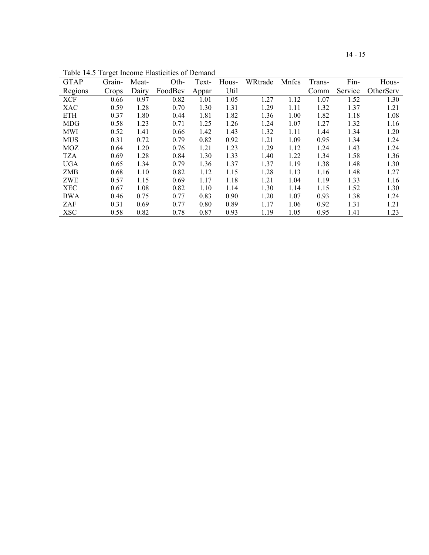| ×  |
|----|
| ۰, |
|    |

| <b>GTAP</b> | Grain- | Meat- | Oth-    | Text- | Hous- | WRtrade | Mnfcs | Trans- | Fin-    | Hous-     |
|-------------|--------|-------|---------|-------|-------|---------|-------|--------|---------|-----------|
| Regions     | Crops  | Dairy | FoodBev | Appar | Util  |         |       | Comm   | Service | OtherServ |
| <b>XCF</b>  | 0.66   | 0.97  | 0.82    | 1.01  | 1.05  | 1.27    | 1.12  | 1.07   | 1.52    | 1.30      |
| <b>XAC</b>  | 0.59   | 1.28  | 0.70    | 1.30  | 1.31  | 1.29    | 1.11  | 1.32   | 1.37    | 1.21      |
| <b>ETH</b>  | 0.37   | 1.80  | 0.44    | 1.81  | 1.82  | 1.36    | 1.00  | 1.82   | 1.18    | 1.08      |
| <b>MDG</b>  | 0.58   | 1.23  | 0.71    | 1.25  | 1.26  | 1.24    | 1.07  | 1.27   | 1.32    | 1.16      |
| MWI         | 0.52   | 1.41  | 0.66    | 1.42  | 1.43  | 1.32    | 1.11  | 1.44   | 1.34    | 1.20      |
| <b>MUS</b>  | 0.31   | 0.72  | 0.79    | 0.82  | 0.92  | 1.21    | 1.09  | 0.95   | 1.34    | 1.24      |
| <b>MOZ</b>  | 0.64   | 1.20  | 0.76    | 1.21  | 1.23  | 1.29    | 1.12  | 1.24   | 1.43    | 1.24      |
| <b>TZA</b>  | 0.69   | 1.28  | 0.84    | 1.30  | 1.33  | 1.40    | 1.22  | 1.34   | 1.58    | 1.36      |
| <b>UGA</b>  | 0.65   | 1.34  | 0.79    | 1.36  | 1.37  | 1.37    | 1.19  | 1.38   | 1.48    | 1.30      |
| <b>ZMB</b>  | 0.68   | 1.10  | 0.82    | 1.12  | 1.15  | 1.28    | 1.13  | 1.16   | 1.48    | 1.27      |
| ZWE         | 0.57   | 1.15  | 0.69    | 1.17  | 1.18  | 1.21    | 1.04  | 1.19   | 1.33    | 1.16      |
| <b>XEC</b>  | 0.67   | 1.08  | 0.82    | 1.10  | 1.14  | 1.30    | 1.14  | 1.15   | 1.52    | 1.30      |
| BWA         | 0.46   | 0.75  | 0.77    | 0.83  | 0.90  | 1.20    | 1.07  | 0.93   | 1.38    | 1.24      |
| ZAF         | 0.31   | 0.69  | 0.77    | 0.80  | 0.89  | 1.17    | 1.06  | 0.92   | 1.31    | 1.21      |
| <b>XSC</b>  | 0.58   | 0.82  | 0.78    | 0.87  | 0.93  | 1.19    | 1.05  | 0.95   | 1.41    | 1.23      |

Table 14.5 Target Income Elasticities of Demand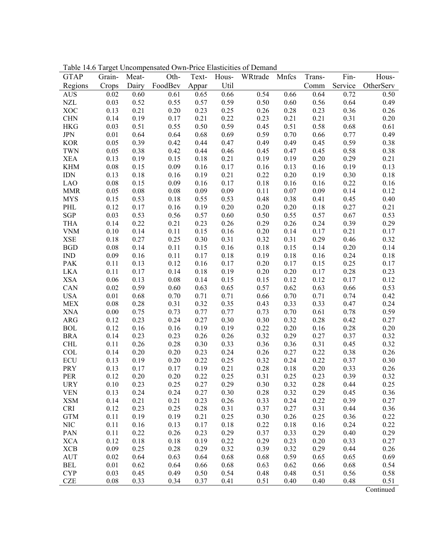| <b>GTAP</b> | Grain-   | Meat- | Tuble 11.0 Turget Uncompensated OWN THee Enasteries of Demand<br>Oth- | Text- |      | Hous- WRtrade Mnfcs |      | Trans-   | Fin-    | Hous-     |
|-------------|----------|-------|-----------------------------------------------------------------------|-------|------|---------------------|------|----------|---------|-----------|
|             |          |       |                                                                       |       |      |                     |      |          |         |           |
| Regions     | Crops    | Dairy | FoodBev                                                               | Appar | Util |                     |      | Comm     | Service | OtherServ |
| <b>AUS</b>  | 0.02     | 0.60  | 0.61                                                                  | 0.65  | 0.66 | 0.54                | 0.66 | 0.64     | 0.72    | 0.50      |
| <b>NZL</b>  | 0.03     | 0.52  | 0.55                                                                  | 0.57  | 0.59 | 0.50                | 0.60 | 0.56     | 0.64    | 0.49      |
| <b>XOC</b>  | 0.13     | 0.21  | 0.20                                                                  | 0.23  | 0.25 | 0.26                | 0.28 | 0.23     | 0.36    | 0.26      |
| <b>CHN</b>  | 0.14     | 0.19  | 0.17                                                                  | 0.21  | 0.22 | 0.23                | 0.21 | 0.21     | 0.31    | 0.20      |
| <b>HKG</b>  | 0.03     | 0.51  | 0.55                                                                  | 0.50  | 0.59 | 0.45                | 0.51 | 0.58     | 0.68    | 0.61      |
| $\rm JPN$   | 0.01     | 0.64  | 0.64                                                                  | 0.68  | 0.69 | 0.59                | 0.70 | 0.66     | 0.77    | 0.49      |
| <b>KOR</b>  | 0.05     | 0.39  | 0.42                                                                  | 0.44  | 0.47 | 0.49                | 0.49 | 0.45     | 0.59    | 0.38      |
| <b>TWN</b>  | 0.05     | 0.38  | 0.42                                                                  | 0.44  | 0.46 | 0.45                | 0.47 | 0.45     | 0.58    | 0.38      |
| <b>XEA</b>  | 0.13     | 0.19  | 0.15                                                                  | 0.18  | 0.21 | 0.19                | 0.19 | 0.20     | 0.29    | 0.21      |
| <b>KHM</b>  | 0.08     | 0.15  | 0.09                                                                  | 0.16  | 0.17 | 0.16                | 0.13 | 0.16     | 0.19    | 0.13      |
| <b>IDN</b>  | 0.13     | 0.18  | 0.16                                                                  | 0.19  | 0.21 | 0.22                | 0.20 | 0.19     | 0.30    | 0.18      |
| <b>LAO</b>  | 0.08     | 0.15  | 0.09                                                                  | 0.16  | 0.17 | 0.18                | 0.16 | 0.16     | 0.22    | 0.16      |
| <b>MMR</b>  | 0.05     | 0.08  | 0.08                                                                  | 0.09  | 0.09 | 0.11                | 0.07 | 0.09     | 0.14    | 0.12      |
| <b>MYS</b>  | 0.15     | 0.53  | 0.18                                                                  | 0.55  | 0.53 | 0.48                | 0.38 | 0.41     | 0.45    | 0.40      |
| PHL         | 0.12     | 0.17  | 0.16                                                                  | 0.19  | 0.20 | 0.20                | 0.20 | 0.18     | 0.27    | 0.21      |
| SGP         | 0.03     | 0.53  | 0.56                                                                  | 0.57  | 0.60 | 0.50                | 0.55 | 0.57     | 0.67    | 0.53      |
| <b>THA</b>  | 0.14     | 0.22  | 0.21                                                                  | 0.23  | 0.26 | 0.29                | 0.26 | 0.24     | 0.39    | 0.29      |
| <b>VNM</b>  | 0.10     | 0.14  | 0.11                                                                  | 0.15  | 0.16 | 0.20                | 0.14 | 0.17     | 0.21    | 0.17      |
| <b>XSE</b>  | 0.18     | 0.27  | 0.25                                                                  | 0.30  | 0.31 | 0.32                | 0.31 | 0.29     | 0.46    | 0.32      |
| <b>BGD</b>  | 0.08     | 0.14  | 0.11                                                                  | 0.15  | 0.16 | 0.18                | 0.15 | 0.14     | 0.20    | 0.14      |
| <b>IND</b>  | 0.09     | 0.16  | 0.11                                                                  | 0.17  | 0.18 | 0.19                | 0.18 | 0.16     | 0.24    | 0.18      |
| <b>PAK</b>  | 0.11     | 0.13  | 0.12                                                                  | 0.16  | 0.17 | 0.20                | 0.17 | 0.15     | 0.25    | 0.17      |
| <b>LKA</b>  | 0.11     | 0.17  | 0.14                                                                  | 0.18  | 0.19 | 0.20                | 0.20 | 0.17     | 0.28    | 0.23      |
| <b>XSA</b>  | 0.06     | 0.13  | 0.08                                                                  | 0.14  | 0.15 | 0.15                | 0.12 | 0.12     | 0.17    | 0.12      |
| CAN         | 0.02     | 0.59  | 0.60                                                                  | 0.63  | 0.65 | 0.57                | 0.62 | 0.63     | 0.66    | 0.53      |
| <b>USA</b>  | 0.01     | 0.68  | 0.70                                                                  | 0.71  | 0.71 | 0.66                | 0.70 | 0.71     | 0.74    | 0.42      |
| <b>MEX</b>  | 0.08     | 0.28  | 0.31                                                                  | 0.32  | 0.35 | 0.43                | 0.33 | 0.33     | 0.47    | 0.24      |
| <b>XNA</b>  | 0.00     | 0.75  | 0.73                                                                  | 0.77  | 0.77 | 0.73                | 0.70 | 0.61     | 0.78    | 0.59      |
| <b>ARG</b>  | 0.12     | 0.23  | 0.24                                                                  | 0.27  | 0.30 | 0.30                | 0.32 | 0.28     | 0.42    | 0.27      |
| <b>BOL</b>  | 0.12     | 0.16  | 0.16                                                                  | 0.19  | 0.19 | 0.22                | 0.20 | 0.16     | 0.28    | 0.20      |
| <b>BRA</b>  | 0.14     | 0.23  | 0.23                                                                  | 0.26  | 0.26 | 0.32                | 0.29 | 0.27     | 0.37    | 0.32      |
| <b>CHL</b>  | 0.11     | 0.26  | 0.28                                                                  | 0.30  | 0.33 | 0.36                | 0.36 | 0.31     | 0.45    | 0.32      |
| <b>COL</b>  | 0.14     | 0.20  | 0.20                                                                  | 0.23  | 0.24 | 0.26                | 0.27 | 0.22     | 0.38    | 0.26      |
| <b>ECU</b>  | 0.13     | 0.19  | 0.20                                                                  | 0.22  | 0.25 | 0.32                | 0.24 | 0.22     | 0.37    | 0.30      |
| PRY         | 0.13     | 0.17  | 0.17                                                                  | 0.19  | 0.21 | 0.28                | 0.18 | $0.20\,$ | 0.33    | 0.26      |
| <b>PER</b>  | 0.12     | 0.20  | 0.20                                                                  | 0.22  | 0.25 | 0.31                | 0.25 | 0.23     | 0.39    | 0.32      |
| <b>URY</b>  | $0.10\,$ | 0.23  | 0.25                                                                  | 0.27  | 0.29 | 0.30                | 0.32 | $0.28\,$ | 0.44    | 0.25      |
| <b>VEN</b>  | 0.13     | 0.24  | 0.24                                                                  | 0.27  | 0.30 | 0.28                | 0.32 | 0.29     | 0.45    | 0.36      |
| <b>XSM</b>  | 0.14     | 0.21  | 0.21                                                                  | 0.23  | 0.26 | 0.33                | 0.24 | 0.22     | 0.39    | 0.27      |
| <b>CRI</b>  | 0.12     | 0.23  | 0.25                                                                  | 0.28  | 0.31 | 0.37                | 0.27 | 0.31     | 0.44    | 0.36      |
| <b>GTM</b>  | 0.11     | 0.19  | 0.19                                                                  | 0.21  | 0.25 | 0.30                | 0.26 | 0.25     | 0.36    | 0.22      |
| <b>NIC</b>  | 0.11     | 0.16  | 0.13                                                                  | 0.17  | 0.18 | 0.22                | 0.18 | 0.16     | 0.24    | 0.22      |
| PAN         | 0.11     | 0.22  | 0.26                                                                  | 0.23  | 0.29 | 0.37                | 0.33 | 0.29     | 0.40    | 0.29      |
| <b>XCA</b>  | 0.12     | 0.18  | 0.18                                                                  | 0.19  | 0.22 | 0.29                | 0.23 | 0.20     | 0.33    | 0.27      |
| <b>XCB</b>  | 0.09     | 0.25  | 0.28                                                                  | 0.29  | 0.32 | 0.39                | 0.32 | 0.29     | 0.44    | 0.26      |
| <b>AUT</b>  | 0.02     | 0.64  | 0.63                                                                  | 0.64  | 0.68 | 0.68                | 0.59 | 0.65     | 0.65    | 0.69      |
| <b>BEL</b>  | 0.01     | 0.62  | 0.64                                                                  | 0.66  | 0.68 | 0.63                | 0.62 | 0.66     | 0.68    | 0.54      |
| <b>CYP</b>  | 0.03     | 0.45  | 0.49                                                                  | 0.50  | 0.54 | 0.48                | 0.48 | 0.51     | 0.56    | 0.58      |
| <b>CZE</b>  | 0.08     | 0.33  | 0.34                                                                  | 0.37  | 0.41 | 0.51                | 0.40 | 0.40     | 0.48    | 0.51      |

Table 14.6 Target Uncompensated Own-Price Elasticities of Demand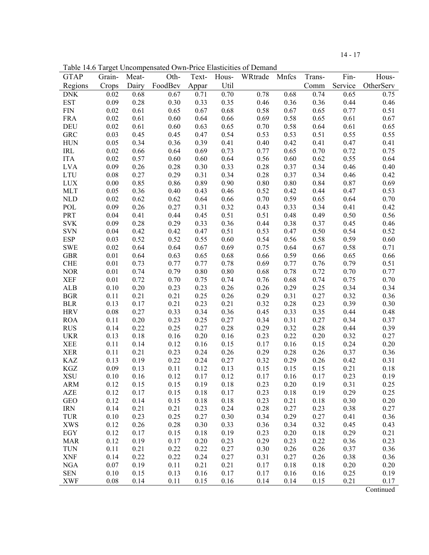|--|--|--|--|

Table 14.6 Target Uncompensated Own-Price Elasticities of Demand

| <b>GTAP</b>               | Grain- | Meat- | Tuble 1.1.0 Turget Oncompensated OWN THee Enasterites of Demand<br>Oth- | Text- | Hous- | WRtrade Mnfcs |          | Trans- | Fin- | Hous-             |
|---------------------------|--------|-------|-------------------------------------------------------------------------|-------|-------|---------------|----------|--------|------|-------------------|
| Regions                   | Crops  |       | Dairy FoodBev                                                           | Appar | Util  |               |          | Comm   |      | Service OtherServ |
| <b>DNK</b>                | 0.02   | 0.68  | 0.67                                                                    | 0.71  | 0.70  | 0.78          | 0.68     | 0.74   | 0.65 | 0.75              |
| <b>EST</b>                | 0.09   | 0.28  | 0.30                                                                    | 0.33  | 0.35  | 0.46          | 0.36     | 0.36   | 0.44 | 0.46              |
| <b>FIN</b>                | 0.02   | 0.61  | 0.65                                                                    | 0.67  | 0.68  | 0.58          | 0.67     | 0.65   | 0.77 | 0.51              |
| <b>FRA</b>                | 0.02   | 0.61  | 0.60                                                                    | 0.64  | 0.66  | 0.69          | 0.58     | 0.65   | 0.61 | 0.67              |
| <b>DEU</b>                | 0.02   | 0.61  | 0.60                                                                    | 0.63  | 0.65  | 0.70          | 0.58     | 0.64   | 0.61 | 0.65              |
| <b>GRC</b>                | 0.03   | 0.45  | 0.45                                                                    | 0.47  | 0.54  | 0.53          | 0.53     | 0.51   | 0.55 | 0.55              |
| <b>HUN</b>                | 0.05   | 0.34  | 0.36                                                                    | 0.39  | 0.41  | 0.40          | 0.42     | 0.41   | 0.47 | 0.41              |
| IRL                       | 0.02   | 0.66  | 0.64                                                                    | 0.69  | 0.73  | 0.77          | 0.65     | 0.70   | 0.72 | 0.75              |
| <b>ITA</b>                | 0.02   | 0.57  | 0.60                                                                    | 0.60  | 0.64  | 0.56          | 0.60     | 0.62   | 0.55 | 0.64              |
| <b>LVA</b>                | 0.09   | 0.26  | 0.28                                                                    | 0.30  | 0.33  | 0.28          | 0.37     | 0.34   | 0.46 | 0.40              |
| <b>LTU</b>                | 0.08   | 0.27  | 0.29                                                                    | 0.31  | 0.34  | 0.28          | 0.37     | 0.34   | 0.46 | 0.42              |
| $\ensuremath{\text{LUX}}$ | 0.00   | 0.85  | 0.86                                                                    | 0.89  | 0.90  | 0.80          | $0.80\,$ | 0.84   | 0.87 | 0.69              |
| <b>MLT</b>                | 0.05   | 0.36  | 0.40                                                                    | 0.43  | 0.46  | 0.52          | 0.42     | 0.44   | 0.47 | 0.53              |
| <b>NLD</b>                | 0.02   | 0.62  | 0.62                                                                    | 0.64  | 0.66  | 0.70          | 0.59     | 0.65   | 0.64 | 0.70              |
| POL                       | 0.09   | 0.26  | 0.27                                                                    | 0.31  | 0.32  | 0.43          | 0.33     | 0.34   | 0.41 | 0.42              |
| PRT                       | 0.04   | 0.41  | 0.44                                                                    | 0.45  | 0.51  | 0.51          | 0.48     | 0.49   | 0.50 | 0.56              |
| <b>SVK</b>                | 0.09   | 0.28  | 0.29                                                                    | 0.33  | 0.36  | 0.44          | 0.38     | 0.37   | 0.45 | 0.46              |
| <b>SVN</b>                | 0.04   | 0.42  | 0.42                                                                    | 0.47  | 0.51  | 0.53          | 0.47     | 0.50   | 0.54 | 0.52              |
| <b>ESP</b>                | 0.03   | 0.52  | 0.52                                                                    | 0.55  | 0.60  | 0.54          | 0.56     | 0.58   | 0.59 | 0.60              |
| <b>SWE</b>                | 0.02   | 0.64  | 0.64                                                                    | 0.67  | 0.69  | 0.75          | 0.64     | 0.67   | 0.58 | 0.71              |
| <b>GBR</b>                | 0.01   | 0.64  | 0.63                                                                    | 0.65  | 0.68  | 0.66          | 0.59     | 0.66   | 0.65 | 0.66              |
| <b>CHE</b>                | 0.01   | 0.73  | 0.77                                                                    | 0.77  | 0.78  | 0.69          | 0.77     | 0.76   | 0.79 | 0.51              |
| <b>NOR</b>                | 0.01   | 0.74  | 0.79                                                                    | 0.80  | 0.80  | 0.68          | 0.78     | 0.72   | 0.70 | 0.77              |
| <b>XEF</b>                | 0.01   | 0.72  | 0.70                                                                    | 0.75  | 0.74  | 0.76          | 0.68     | 0.74   | 0.75 | 0.70              |
| ALB                       | 0.10   | 0.20  | 0.23                                                                    | 0.23  | 0.26  | 0.26          | 0.29     | 0.25   | 0.34 | 0.34              |
| <b>BGR</b>                | 0.11   | 0.21  | 0.21                                                                    | 0.25  | 0.26  | 0.29          | 0.31     | 0.27   | 0.32 | 0.36              |
| <b>BLR</b>                | 0.13   | 0.17  | 0.21                                                                    | 0.23  | 0.21  | 0.32          | 0.28     | 0.23   | 0.39 | 0.30              |
| <b>HRV</b>                | 0.08   | 0.27  | 0.33                                                                    | 0.34  | 0.36  | 0.45          | 0.33     | 0.35   | 0.44 | 0.48              |
| <b>ROA</b>                | 0.11   | 0.20  | 0.23                                                                    | 0.25  | 0.27  | 0.34          | 0.31     | 0.27   | 0.34 | 0.37              |
| <b>RUS</b>                | 0.14   | 0.22  | 0.25                                                                    | 0.27  | 0.28  | 0.29          | 0.32     | 0.28   | 0.44 | 0.39              |
| <b>UKR</b>                | 0.13   | 0.18  | 0.16                                                                    | 0.20  | 0.16  | 0.23          | 0.22     | 0.20   | 0.32 | 0.27              |
| <b>XEE</b>                | 0.11   | 0.14  | 0.12                                                                    | 0.16  | 0.15  | 0.17          | 0.16     | 0.15   | 0.24 | 0.20              |
| <b>XER</b>                | 0.11   | 0.21  | 0.23                                                                    | 0.24  | 0.26  | 0.29          | 0.28     | 0.26   | 0.37 | 0.36              |
| KAZ                       | 0.13   | 0.19  | 0.22                                                                    | 0.24  | 0.27  | 0.32          | 0.29     | 0.26   | 0.42 | 0.31              |
| KGZ                       | 0.09   | 0.13  | 0.11                                                                    | 0.12  | 0.13  | 0.15          | 0.15     | 0.15   | 0.21 | 0.18              |
| <b>XSU</b>                | 0.10   | 0.16  | 0.12                                                                    | 0.17  | 0.12  | 0.17          | 0.16     | 0.17   | 0.23 | 0.19              |
| <b>ARM</b>                | 0.12   | 0.15  | 0.15                                                                    | 0.19  | 0.18  | 0.23          | 0.20     | 0.19   | 0.31 | 0.25              |
| <b>AZE</b>                | 0.12   | 0.17  | 0.15                                                                    | 0.18  | 0.17  | 0.23          | 0.18     | 0.19   | 0.29 | 0.25              |
| <b>GEO</b>                | 0.12   | 0.14  | 0.15                                                                    | 0.18  | 0.18  | 0.23          | 0.21     | 0.18   | 0.30 | 0.20              |
| <b>IRN</b>                | 0.14   | 0.21  | 0.21                                                                    | 0.23  | 0.24  | 0.28          | 0.27     | 0.23   | 0.38 | 0.27              |
| <b>TUR</b>                | 0.10   | 0.23  | 0.25                                                                    | 0.27  | 0.30  | 0.34          | 0.29     | 0.27   | 0.41 | 0.36              |
| <b>XWS</b>                | 0.12   | 0.26  | 0.28                                                                    | 0.30  | 0.33  | 0.36          | 0.34     | 0.32   | 0.45 | 0.43              |
| EGY                       | 0.12   | 0.17  | 0.15                                                                    | 0.18  | 0.19  | 0.23          | 0.20     | 0.18   | 0.29 | 0.21              |
| <b>MAR</b>                | 0.12   | 0.19  | 0.17                                                                    | 0.20  | 0.23  | 0.29          | 0.23     | 0.22   | 0.36 | 0.23              |
| <b>TUN</b>                | 0.11   | 0.21  | 0.22                                                                    | 0.22  | 0.27  | 0.30          | 0.26     | 0.26   | 0.37 | 0.36              |
| <b>XNF</b>                | 0.14   | 0.22  | 0.22                                                                    | 0.24  | 0.27  | 0.31          | 0.27     | 0.26   | 0.38 | 0.36              |
| <b>NGA</b>                | 0.07   | 0.19  | 0.11                                                                    | 0.21  | 0.21  | 0.17          | 0.18     | 0.18   | 0.20 | 0.20              |
| <b>SEN</b>                | 0.10   | 0.15  | 0.13                                                                    | 0.16  | 0.17  | 0.17          | 0.16     | 0.16   | 0.25 | 0.19              |
| <b>XWF</b>                | 0.08   | 0.14  | 0.11                                                                    | 0.15  | 0.16  | 0.14          | 0.14     | 0.15   | 0.21 | 0.17              |